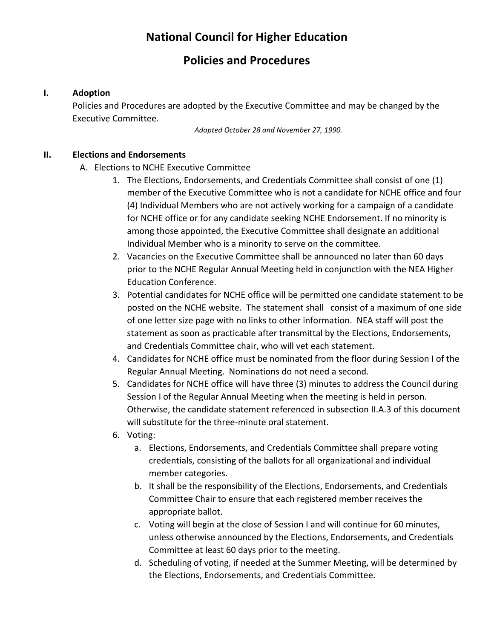# **National Council for Higher Education**

# **Policies and Procedures**

# **I. Adoption**

Policies and Procedures are adopted by the Executive Committee and may be changed by the Executive Committee.

*Adopted October 28 and November 27, 1990.*

# **II. Elections and Endorsements**

- A. Elections to NCHE Executive Committee
	- 1. The Elections, Endorsements, and Credentials Committee shall consist of one (1) member of the Executive Committee who is not a candidate for NCHE office and four (4) Individual Members who are not actively working for a campaign of a candidate for NCHE office or for any candidate seeking NCHE Endorsement. If no minority is among those appointed, the Executive Committee shall designate an additional Individual Member who is a minority to serve on the committee.
	- 2. Vacancies on the Executive Committee shall be announced no later than 60 days prior to the NCHE Regular Annual Meeting held in conjunction with the NEA Higher Education Conference.
	- 3. Potential candidates for NCHE office will be permitted one candidate statement to be posted on the NCHE website. The statement shall consist of a maximum of one side of one letter size page with no links to other information. NEA staff will post the statement as soon as practicable after transmittal by the Elections, Endorsements, and Credentials Committee chair, who will vet each statement.
	- 4. Candidates for NCHE office must be nominated from the floor during Session I of the Regular Annual Meeting. Nominations do not need a second.
	- 5. Candidates for NCHE office will have three (3) minutes to address the Council during Session I of the Regular Annual Meeting when the meeting is held in person. Otherwise, the candidate statement referenced in subsection II.A.3 of this document will substitute for the three-minute oral statement.
	- 6. Voting:
		- a. Elections, Endorsements, and Credentials Committee shall prepare voting credentials, consisting of the ballots for all organizational and individual member categories.
		- b. It shall be the responsibility of the Elections, Endorsements, and Credentials Committee Chair to ensure that each registered member receives the appropriate ballot.
		- c. Voting will begin at the close of Session I and will continue for 60 minutes, unless otherwise announced by the Elections, Endorsements, and Credentials Committee at least 60 days prior to the meeting.
		- d. Scheduling of voting, if needed at the Summer Meeting, will be determined by the Elections, Endorsements, and Credentials Committee.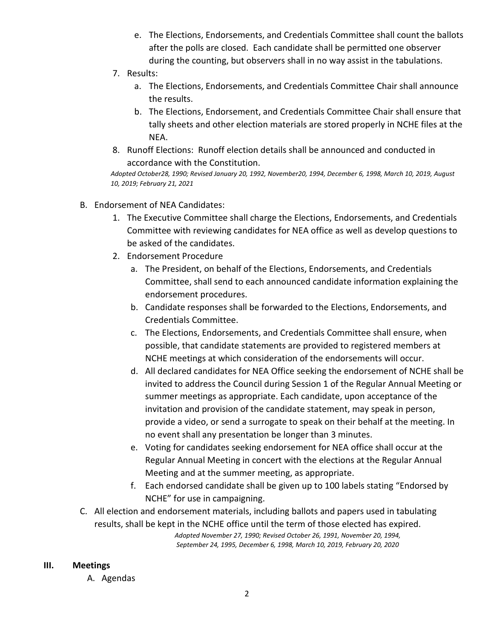- e. The Elections, Endorsements, and Credentials Committee shall count the ballots after the polls are closed. Each candidate shall be permitted one observer during the counting, but observers shall in no way assist in the tabulations.
- 7. Results:
	- a. The Elections, Endorsements, and Credentials Committee Chair shall announce the results.
	- b. The Elections, Endorsement, and Credentials Committee Chair shall ensure that tally sheets and other election materials are stored properly in NCHE files at the NEA.
- 8. Runoff Elections: Runoff election details shall be announced and conducted in accordance with the Constitution.

*Adopted October28, 1990; Revised January 20, 1992, November20, 1994, December 6, 1998, March 10, 2019, August 10, 2019; February 21, 2021*

- B. Endorsement of NEA Candidates:
	- 1. The Executive Committee shall charge the Elections, Endorsements, and Credentials Committee with reviewing candidates for NEA office as well as develop questions to be asked of the candidates.
	- 2. Endorsement Procedure
		- a. The President, on behalf of the Elections, Endorsements, and Credentials Committee, shall send to each announced candidate information explaining the endorsement procedures.
		- b. Candidate responses shall be forwarded to the Elections, Endorsements, and Credentials Committee.
		- c. The Elections, Endorsements, and Credentials Committee shall ensure, when possible, that candidate statements are provided to registered members at NCHE meetings at which consideration of the endorsements will occur.
		- d. All declared candidates for NEA Office seeking the endorsement of NCHE shall be invited to address the Council during Session 1 of the Regular Annual Meeting or summer meetings as appropriate. Each candidate, upon acceptance of the invitation and provision of the candidate statement, may speak in person, provide a video, or send a surrogate to speak on their behalf at the meeting. In no event shall any presentation be longer than 3 minutes.
		- e. Voting for candidates seeking endorsement for NEA office shall occur at the Regular Annual Meeting in concert with the elections at the Regular Annual Meeting and at the summer meeting, as appropriate.
		- f. Each endorsed candidate shall be given up to 100 labels stating "Endorsed by NCHE" for use in campaigning.
- C. All election and endorsement materials, including ballots and papers used in tabulating results, shall be kept in the NCHE office until the term of those elected has expired.

*Adopted November 27, 1990; Revised October 26, 1991, November 20, 1994, September 24, 1995, December 6, 1998, March 10, 2019, February 20, 2020*

#### **III. Meetings**

A. Agendas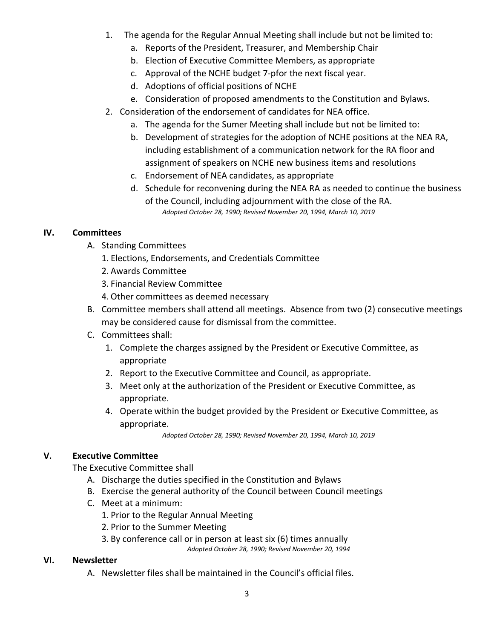- 1. The agenda for the Regular Annual Meeting shall include but not be limited to:
	- a. Reports of the President, Treasurer, and Membership Chair
	- b. Election of Executive Committee Members, as appropriate
	- c. Approval of the NCHE budget 7-pfor the next fiscal year.
	- d. Adoptions of official positions of NCHE
	- e. Consideration of proposed amendments to the Constitution and Bylaws.
- 2. Consideration of the endorsement of candidates for NEA office.
	- a. The agenda for the Sumer Meeting shall include but not be limited to:
	- b. Development of strategies for the adoption of NCHE positions at the NEA RA, including establishment of a communication network for the RA floor and assignment of speakers on NCHE new business items and resolutions
	- c. Endorsement of NEA candidates, as appropriate
	- d. Schedule for reconvening during the NEA RA as needed to continue the business of the Council, including adjournment with the close of the RA. *Adopted October 28, 1990; Revised November 20, 1994, March 10, 2019*

# **IV. Committees**

- A. Standing Committees
	- 1. Elections, Endorsements, and Credentials Committee
	- 2. Awards Committee
	- 3. Financial Review Committee
	- 4. Other committees as deemed necessary
- B. Committee members shall attend all meetings. Absence from two (2) consecutive meetings may be considered cause for dismissal from the committee.
- C. Committees shall:
	- 1. Complete the charges assigned by the President or Executive Committee, as appropriate
	- 2. Report to the Executive Committee and Council, as appropriate.
	- 3. Meet only at the authorization of the President or Executive Committee, as appropriate.
	- 4. Operate within the budget provided by the President or Executive Committee, as appropriate.

*Adopted October 28, 1990; Revised November 20, 1994, March 10, 2019*

### **V. Executive Committee**

The Executive Committee shall

- A. Discharge the duties specified in the Constitution and Bylaws
- B. Exercise the general authority of the Council between Council meetings
- C. Meet at a minimum:
	- 1. Prior to the Regular Annual Meeting
	- 2. Prior to the Summer Meeting
	- 3. By conference call or in person at least six (6) times annually *Adopted October 28, 1990; Revised November 20, 1994*

### **VI. Newsletter**

A. Newsletter files shall be maintained in the Council's official files.